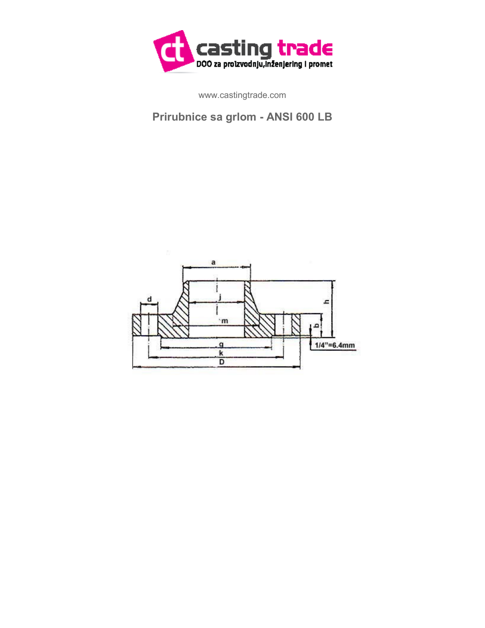

www.castingtrade.com

## **Prirubnice sa grlom - ANSI 600 LB**